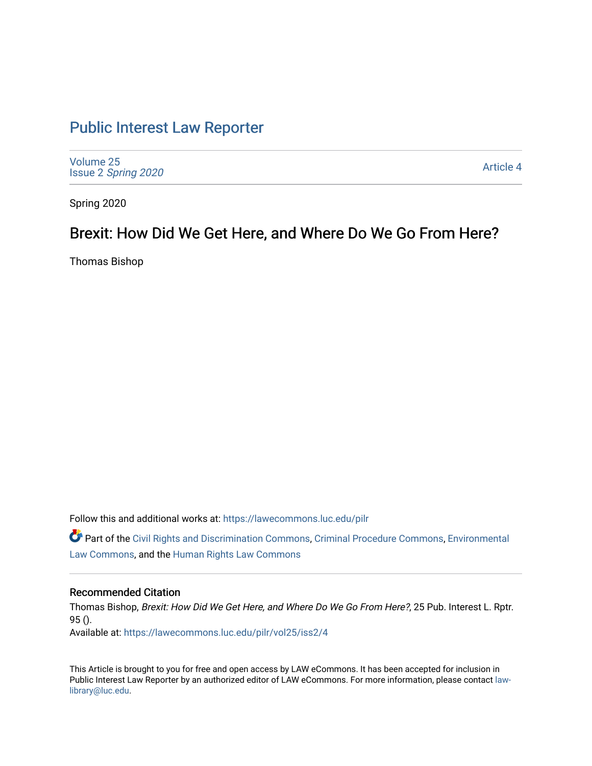# [Public Interest Law Reporter](https://lawecommons.luc.edu/pilr)

[Volume 25](https://lawecommons.luc.edu/pilr/vol25) Issue 2 [Spring 2020](https://lawecommons.luc.edu/pilr/vol25/iss2) 

[Article 4](https://lawecommons.luc.edu/pilr/vol25/iss2/4) 

Spring 2020

## Brexit: How Did We Get Here, and Where Do We Go From Here?

Thomas Bishop

Follow this and additional works at: [https://lawecommons.luc.edu/pilr](https://lawecommons.luc.edu/pilr?utm_source=lawecommons.luc.edu%2Fpilr%2Fvol25%2Fiss2%2F4&utm_medium=PDF&utm_campaign=PDFCoverPages) 

Part of the [Civil Rights and Discrimination Commons,](http://network.bepress.com/hgg/discipline/585?utm_source=lawecommons.luc.edu%2Fpilr%2Fvol25%2Fiss2%2F4&utm_medium=PDF&utm_campaign=PDFCoverPages) [Criminal Procedure Commons,](http://network.bepress.com/hgg/discipline/1073?utm_source=lawecommons.luc.edu%2Fpilr%2Fvol25%2Fiss2%2F4&utm_medium=PDF&utm_campaign=PDFCoverPages) [Environmental](http://network.bepress.com/hgg/discipline/599?utm_source=lawecommons.luc.edu%2Fpilr%2Fvol25%2Fiss2%2F4&utm_medium=PDF&utm_campaign=PDFCoverPages)  [Law Commons,](http://network.bepress.com/hgg/discipline/599?utm_source=lawecommons.luc.edu%2Fpilr%2Fvol25%2Fiss2%2F4&utm_medium=PDF&utm_campaign=PDFCoverPages) and the [Human Rights Law Commons](http://network.bepress.com/hgg/discipline/847?utm_source=lawecommons.luc.edu%2Fpilr%2Fvol25%2Fiss2%2F4&utm_medium=PDF&utm_campaign=PDFCoverPages)

## Recommended Citation

Thomas Bishop, Brexit: How Did We Get Here, and Where Do We Go From Here?, 25 Pub. Interest L. Rptr. 95 ().

Available at: [https://lawecommons.luc.edu/pilr/vol25/iss2/4](https://lawecommons.luc.edu/pilr/vol25/iss2/4?utm_source=lawecommons.luc.edu%2Fpilr%2Fvol25%2Fiss2%2F4&utm_medium=PDF&utm_campaign=PDFCoverPages)

This Article is brought to you for free and open access by LAW eCommons. It has been accepted for inclusion in Public Interest Law Reporter by an authorized editor of LAW eCommons. For more information, please contact [law](mailto:law-library@luc.edu)[library@luc.edu.](mailto:law-library@luc.edu)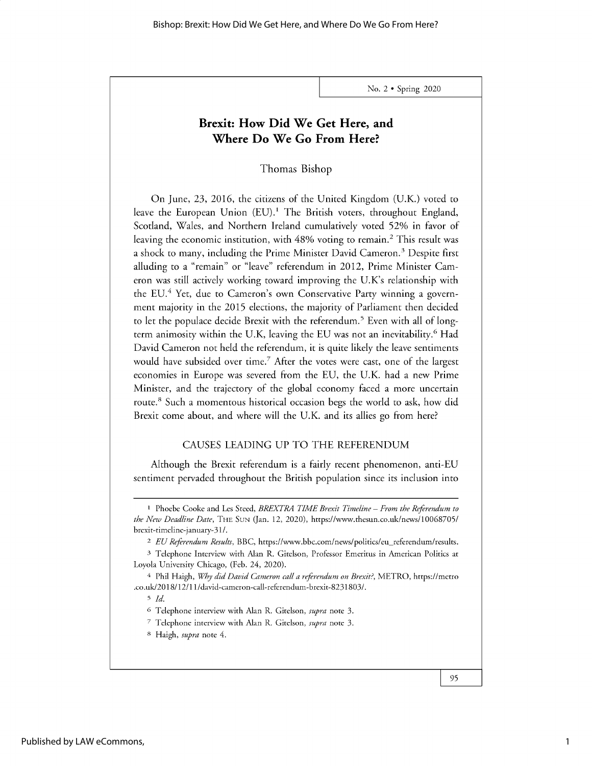## **Brexit: How Did We Get Here, and Where Do We Go From Here?**

Thomas Bishop

On June, 23, 2016, the citizens of the United Kingdom (U.K.) voted to leave the European Union  $(EU)$ .<sup>1</sup> The British voters, throughout England, Scotland, Wales, and Northern Ireland cumulatively voted 52% in favor of leaving the economic institution, with 48% voting to remain.<sup>2</sup> This result was a shock to many, including the Prime Minister David Cameron.<sup>3</sup> Despite first alluding to a "remain" or "leave" referendum in 2012, Prime Minister Cameron was still actively working toward improving the U.K's relationship with the EU.<sup>4</sup> Yet, due to Cameron's own Conservative Party winning a government majority in the 2015 elections, the majority of Parliament then decided to let the populace decide Brexit with the referendum.<sup>5</sup> Even with all of longterm animosity within the U.K, leaving the EU was not an inevitability.<sup>6</sup> Had David Cameron not held the referendum, it is quite likely the leave sentiments would have subsided over time.<sup>7</sup> After the votes were cast, one of the largest economies in Europe was severed from the EU, the U.K. had a new Prime Minister, and the trajectory of the global economy faced a more uncertain route.<sup>8</sup> Such a momentous historical occasion begs the world to ask, how did Brexit come about, and where will the U.K. and its allies go from here?

## CAUSES LEADING UP TO THE REFERENDUM

Although the Brexit referendum is a fairly recent phenomenon, anti-EU sentiment pervaded throughout the British population since its inclusion into

<sup>1</sup> Phoebe Cooke and Les Steed, *BREXTRA TIME Brexit Timeline* - *From the Referendum to the New Deadline Date,* THE SUN (Jan. 12, 2020), *https://www.thesun.co.uk/news/10068705/* brexit-timeline-january-31/.

<sup>&</sup>lt;sup>2</sup> *EU Referendum Results*, BBC, https://www.bbc.com/news/politics/eu\_referendum/results.

**<sup>3</sup>**Telephone Interview with Alan R. Gitelson, Professor Emeritus in American Politics at Loyola University Chicago, (Feb. 24, 2020).

<sup>4</sup> Phil Haigh, *Why did David Cameron call a referendum on Brexit?,* METRO, https://metro .co.uk/2018/12/11/david-cameron-call-referendum-brexit-8231803/.

*<sup>5</sup> Id.*

<sup>6</sup> Telephone interview with Alan R. Gitelson, *supra* note 3.

<sup>7</sup> Telephone interview with Alan R. Gitelson, *supra* note 3.

<sup>8</sup> Haigh, *supra* note 4.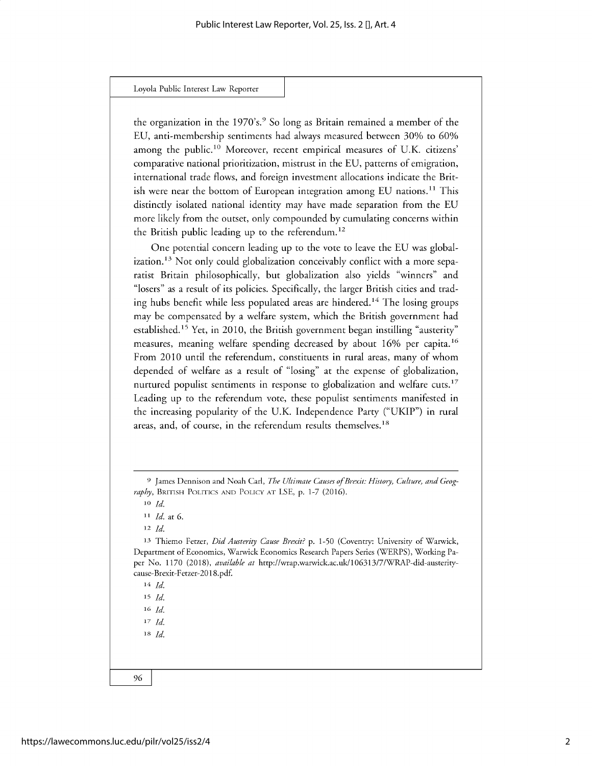Loyola Public **Interest** Law Reporter

the organization in the 1970's.<sup>9</sup> So long as Britain remained a member of the EU, anti-membership sentiments had always measured between 30% to 60% among the public.<sup>10</sup> Moreover, recent empirical measures of U.K. citizens' comparative national prioritization, mistrust in the EU, patterns of emigration, international trade flows, and foreign investment allocations indicate the British were near the bottom of European integration among EU nations.<sup>11</sup> This distinctly isolated national identity may have made separation from the EU more likely from the outset, only compounded by cumulating concerns within the British public leading up to the referendum.<sup>12</sup>

One potential concern leading up to the vote to leave the EU was globalization.<sup>13</sup> Not only could globalization conceivably conflict with a more separatist Britain philosophically, but globalization also yields "winners" and "losers" as a result of its policies. Specifically, the larger British cities and trading hubs benefit while less populated areas are hindered.14 The losing groups may be compensated by a welfare system, which the British government had established.<sup>15</sup> Yet, in 2010, the British government began instilling "austerity" measures, meaning welfare spending decreased by about 16% per capita.<sup>16</sup> From 2010 until the referendum, constituents in rural areas, many of whom depended of welfare as a result of "losing" at the expense of globalization, nurtured populist sentiments in response to globalization and welfare cuts.<sup>17</sup> Leading up to the referendum vote, these populist sentiments manifested in the increasing popularity of the U.K. Independence Party ("UKIP") in rural areas, and, of course, in the referendum results themselves.<sup>18</sup>

**<sup>9</sup>** James Dennison and Noah Carl, *The Ultimate Causes of Brexit: History, Culture, and Geography,* **BRITISH POLITICS AND POLICY AT** LSE, p. 1-7 (2016).

**<sup>10</sup>** *Id.*

**<sup>11</sup>***Id.* at 6.

**<sup>12</sup>***Id.*

**<sup>13</sup>**Thiemo Fetzer, *Did Austerity Cause Brexit? p.* 1-50 (Coventry: University of Warwick, Department of Economics, Warwick Economics Research Papers Series (WERPS), Working Paper No. 1170 (2018), *available at* http://wrap.warwick.ac.uk/106313/7/WRAP-did-austeritycause-Brexit-Fetzer-2018.pdf.

**<sup>14</sup>** *Id.*

**<sup>15</sup>***Id.*

**<sup>16</sup>** *Id. 17 Id.*

*<sup>18</sup>Id.*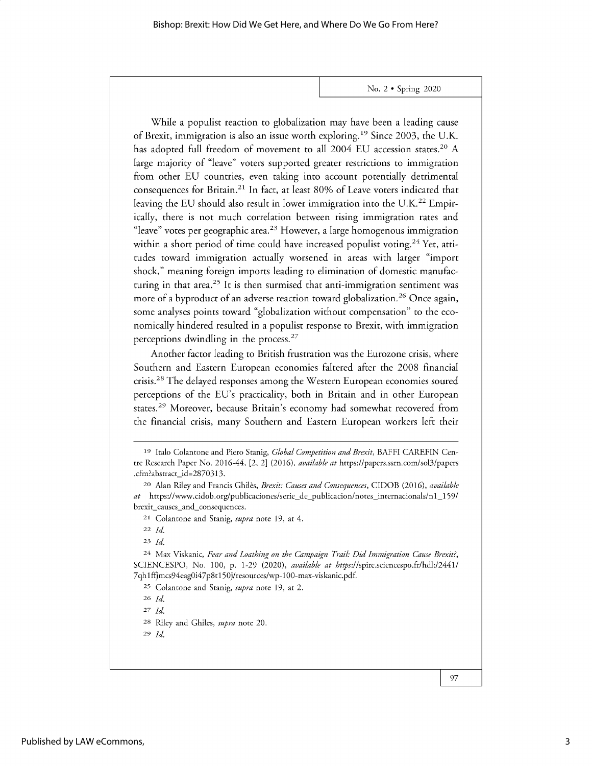While a populist reaction to globalization may have been a leading cause of Brexit, immigration is also an issue worth exploring.<sup>19</sup> Since 2003, the U.K. has adopted full freedom of movement to all 2004 EU accession states.<sup>20</sup> A large majority of "leave" voters supported greater restrictions to immigration from other EU countries, even taking into account potentially detrimental consequences for Britain.<sup>21</sup> In fact, at least 80% of Leave voters indicated that leaving the EU should also result in lower immigration into the U.K.<sup>22</sup> Empirically, there is not much correlation between rising immigration rates and "leave" votes per geographic area.<sup>23</sup> However, a large homogenous immigration within a short period of time could have increased populist voting.<sup>24</sup> Yet, attitudes toward immigration actually worsened in areas with larger "import shock," meaning foreign imports leading to elimination of domestic manufacturing in that area.<sup>25</sup> It is then surmised that anti-immigration sentiment was more of a byproduct of an adverse reaction toward globalization.<sup>26</sup> Once again, some analyses points toward "globalization without compensation" to the economically hindered resulted in a populist response to Brexit, with immigration perceptions dwindling in the process. $27$ 

Another factor leading to British frustration was the Eurozone crisis, where Southern and Eastern European economies faltered after the 2008 financial crisis. <sup>2</sup>8 The delayed responses among the Western European economies soured perceptions of the EU's practicality, both in Britain and in other European states.<sup>29</sup> Moreover, because Britain's economy had somewhat recovered from the financial crisis, many Southern and Eastern European workers left their

**<sup>23</sup>***Id.*

24 Max Viskanic, *Fear and Loathing on the Campaign Trail: Did Immigration Cause Brexit?,* SCIENCESPO, No. 100, p. 1-29 (2020), *available at* https://spire.sciencespo.fr/hdl:/2441/ 7qh1ffjmcs94eagOi47p8tl 50j/resources/wp-100-max-viskanic.pdf.

25 Colantone and Stanig, *supra* note 19, at 2.

<sup>26</sup>*Id.*

*27 Id.*

28 Riley and Ghiles, *supra* note 20.

29 *Id.*

<sup>19</sup> Italo Colantone and Piero Stanig, *Global Competition and Brexit,* BAFFI CAREFIN Centre Research Paper No. 2016-44, [2, 2] (2016), *available at* https://papers.ssrn.com/sol3/papers .cfm?abstract id=2870313.

<sup>20</sup>Alan Riley and Francis Ghiles, *Brexit: Causes and Consequences,* CIDOB (2016), *available at* https://www.cidob.org/publicaciones/serie\_de\_publicacion/notes\_internacionals/nl\_159/ brexit\_causes\_and\_consequences.

<sup>21</sup> Colantone and Stanig, *supra* note 19, at 4.

<sup>22</sup>*Id.*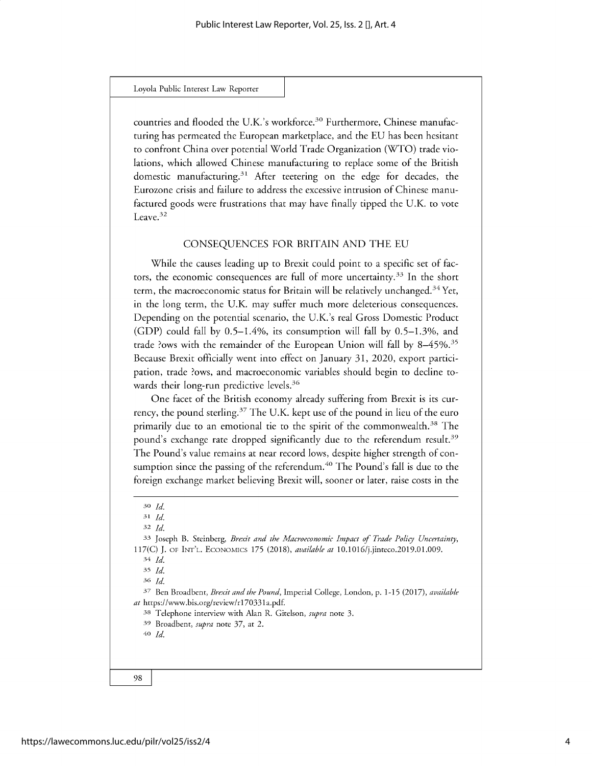#### Loyola Public **Interest** Law Reporter

countries and flooded the U.K.'s workforce.<sup>30</sup> Furthermore, Chinese manufacturing has permeated the European marketplace, and the EU has been hesitant to confront China over potential World Trade Organization (WTO) trade violations, which allowed Chinese manufacturing to replace some of the British domestic manufacturing.<sup>31</sup> After teetering on the edge for decades, the Eurozone crisis and failure to address the excessive intrusion of Chinese manufactured goods were frustrations that may have finally tipped the U.K. to vote Leave.<sup>32</sup>

### CONSEQUENCES FOR BRITAIN AND THE EU

While the causes leading up to Brexit could point to a specific set of factors, the economic consequences are full of more uncertainty.<sup>33</sup> In the short term, the macroeconomic status for Britain will be relatively unchanged.<sup>34</sup> Yet, in the long term, the U.K. may suffer much more deleterious consequences. Depending on the potential scenario, the U.K.'s real Gross Domestic Product (GDP) could fall by 0.5-1.4%, its consumption will fall by *0.5-1.3%,* and trade ?ows with the remainder of the European Union will fall by *8-45%.3s* Because Brexit officially went into effect on January 31, 2020, export participation, trade ?ows, and macroeconomic variables should begin to decline towards their long-run predictive levels.<sup>36</sup>

One facet of the British economy already suffering from Brexit is its currency, the pound sterling.<sup>37</sup> The U.K. kept use of the pound in lieu of the euro primarily due to an emotional tie to the spirit of the commonwealth.<sup>38</sup> The pound's exchange rate dropped significantly due to the referendum result.<sup>39</sup> The Pound's value remains at near record lows, despite higher strength of consumption since the passing of the referendum.<sup>40</sup> The Pound's fall is due to the foreign exchange market believing Brexit will, sooner or later, raise costs in the

*<sup>32</sup>Id.*

3s *Id. <sup>36</sup>' Id.*

*37* Ben Broadbent, *Brexit and the Pound,* Imperial College, London, p. 1-15 (2017), *available at* https://www.bis.org/review/r170331a.pdf.

*38* Telephone interview with Alan R. Gitelson, *supra* note 3.

*39* Broadbent, *supra* note 37, at 2.

**<sup>40</sup>***Id.*

**<sup>30</sup>** *Id.*

*<sup>31</sup> Id.*

*<sup>33</sup>* Joseph B. Steinberg, *Brexit and the Macroeconomic Impact of Trade Policy Uncertainty,* 117(C) J. **OF INT'L. ECONOMICS** 175 (2018), *available at* 10.1016/j.jinteco.2019.01.009.

<sup>34</sup> *Id.*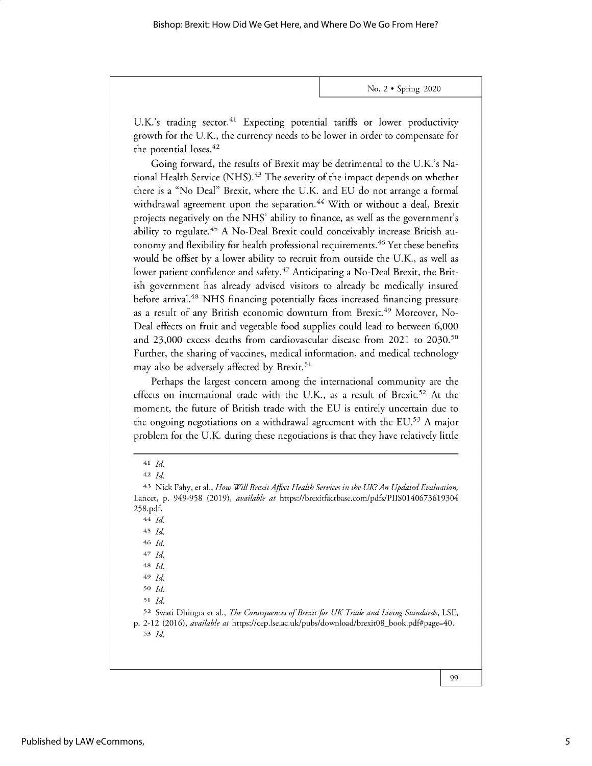U.K.'s trading sector.<sup>41</sup> Expecting potential tariffs or lower productivity growth for the U.K., the currency needs to be lower in order to compensate for the potential loses.<sup>42</sup>

Going forward, the results of Brexit may be detrimental to the U.K.'s National Health Service (NHS).<sup>43</sup> The severity of the impact depends on whether there is a "No Deal" Brexit, where the U.K. and EU do not arrange a formal withdrawal agreement upon the separation.<sup>44</sup> With or without a deal, Brexit projects negatively on the NHS' ability to finance, as well as the government's ability to regulate.<sup>45</sup> A No-Deal Brexit could conceivably increase British autonomy and flexibility for health professional requirements.<sup>46</sup> Yet these benefits would be offset by a lower ability to recruit from outside the U.K., as well as lower patient confidence and safety.<sup>47</sup> Anticipating a No-Deal Brexit, the British government has already advised visitors to already be medically insured before arrival.<sup>48</sup> NHS financing potentially faces increased financing pressure as a result of any British economic downturn from Brexit.<sup>49</sup> Moreover, No-Deal effects on fruit and vegetable food supplies could lead to between 6,000 and 23,000 excess deaths from cardiovascular disease from 2021 to 2030.<sup>50</sup> Further, the sharing of vaccines, medical information, and medical technology may also be adversely affected by Brexit.<sup>51</sup>

Perhaps the largest concern among the international community are the effects on international trade with the U.K., as a result of Brexit.<sup>52</sup> At the moment, the future of British trade with the EU is entirely uncertain due to the ongoing negotiations on a withdrawal agreement with the EU.<sup>53</sup> A major problem for the U.K. during these negotiations is that they have relatively little

44 *Id.*

<sup>45</sup>*Id.*

46 *Id.*

*47 Id.*

**48** *Id.* 49 *Id.*

**<sup>50</sup>***Id.*

**<sup>51</sup>***Id.*

**<sup>41</sup>** *Id.*

**<sup>42</sup>** *Id.*

<sup>&</sup>lt;sup>43</sup> Nick Fahy, et al., *How Will Brexit Affect Health Services in the UK? An Updated Evaluation*, Lancet, p. 949-958 (2019), *available at* https://brexitfactbase.com/pdfs/PIIS0140673619304 258.pdf.

**<sup>52</sup>** Swati Dhingra et al., *The Consequences of Brexit for UK Trade and Living Standards,* LSE, p. 2-12 (2016), *available at* https://cep.lse.ac.uk/pubs/download/brexitO8\_book.pdf#page=40. 53 *Id.*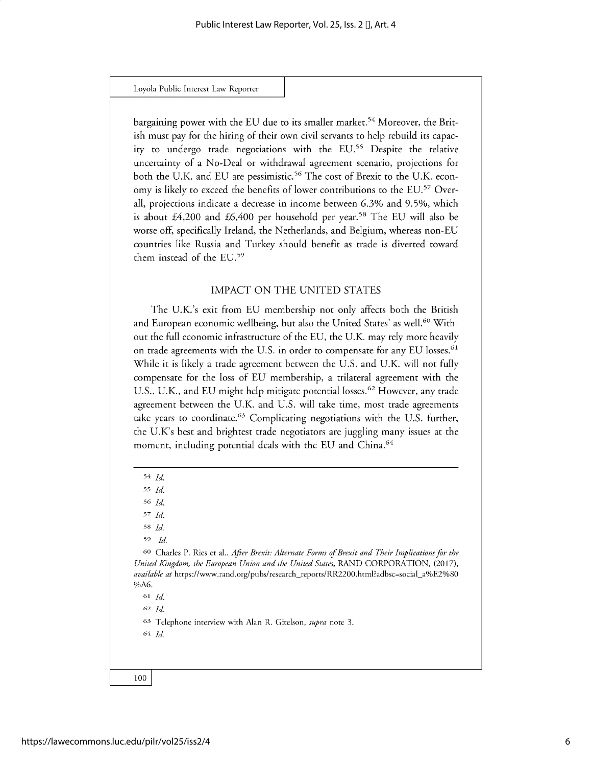#### Loyola Public **Interest** Law Reporter

bargaining power with the EU due to its smaller market.<sup>54</sup> Moreover, the British must pay for the hiring of their own civil servants to help rebuild its capacity to undergo trade negotiations with the EU.<sup>55</sup> Despite the relative uncertainty of a No-Deal or withdrawal agreement scenario, projections for both the U.K. and EU are pessimistic.<sup>56</sup> The cost of Brexit to the U.K. economy is likely to exceed the benefits of lower contributions to the EU.<sup>57</sup> Overall, projections indicate a decrease in income between 6.3% and 9.5%, which is about  $£4,200$  and  $£6,400$  per household per year.<sup>58</sup> The EU will also be worse off, specifically Ireland, the Netherlands, and Belgium, whereas non-EU countries like Russia and Turkey should benefit as trade is diverted toward them instead of the EU.<sup>59</sup>

### IMPACT ON THE UNITED STATES

The U.K.'s exit from EU membership not only affects both the British and European economic wellbeing, but also the United States' as well.<sup>60</sup> Without the full economic infrastructure of the EU, the U.K. may rely more heavily on trade agreements with the U.S. in order to compensate for any EU losses.<sup>61</sup> While it is likely a trade agreement between the U.S. and U.K. will not fully compensate for the loss of EU membership, a trilateral agreement with the U.S., U.K., and EU might help mitigate potential losses.<sup>62</sup> However, any trade agreement between the U.K. and U.S. will take time, most trade agreements take years to coordinate.<sup>63</sup> Complicating negotiations with the U.S. further, the U.K's best and brightest trade negotiators are juggling many issues at the moment, including potential deals with the EU and China.<sup>64</sup>

55 *Id.*

*57 Id.*

**<sup>58</sup>***Id.*

59 *Id*

**<sup>60</sup>**Charles P. Ries et al., *After Brexit: Alternate Forms of Brexit and Their Implications for the United Kingdom, the European Union and the United States,* RAND CORPORATION, (2017), *available at* https://www.rand.org/pubs/research-reports/RR2200.html?adbsc=social\_a%E2%80 %A6.

**<sup>61</sup>***Id.*

**<sup>62</sup>***Id.*

**<sup>63</sup>**Telephone interview with Alan R. Gitelson, *supra* note 3.

**64** *Id*

<sup>54</sup> *Id.*

<sup>56</sup> *Id.*